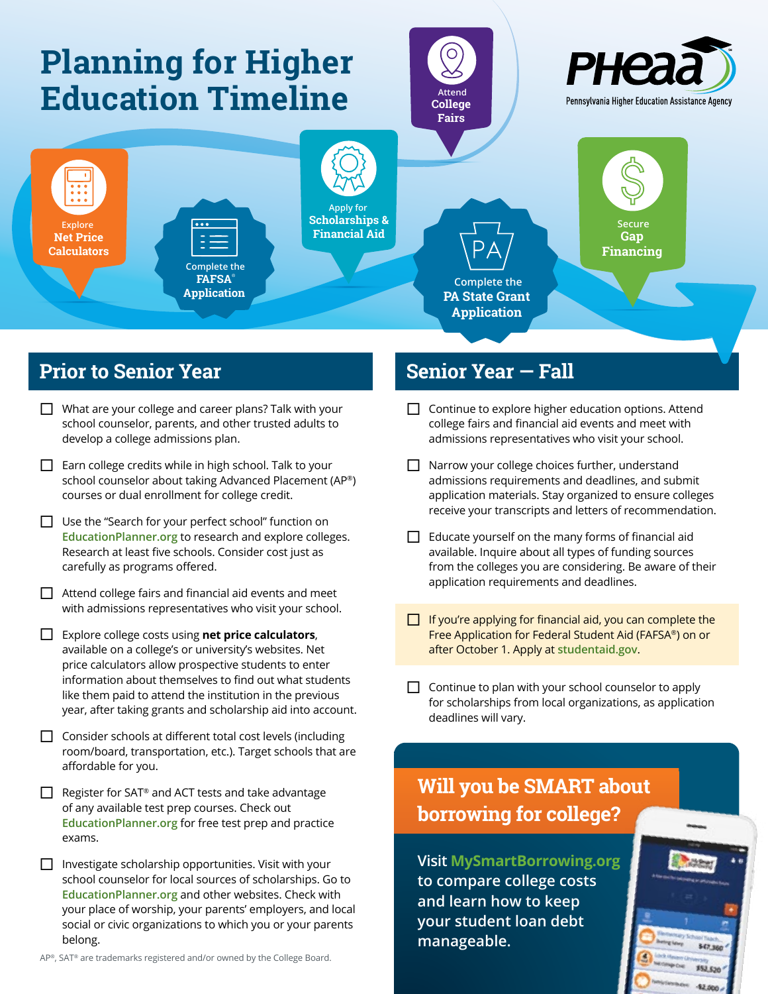

## **Prior to Senior Year**

- $\Box$  What are your college and career plans? Talk with your school counselor, parents, and other trusted adults to develop a college admissions plan.
- $\Box$  Earn college credits while in high school. Talk to your school counselor about taking Advanced Placement (AP®) courses or dual enrollment for college credit.
- $\Box$  Use the "Search for your perfect school" function on **[EducationPlanner.org](http://www.educationplanner.org)** to research and explore colleges. Research at least five schools. Consider cost just as carefully as programs offered.
- $\Box$  Attend college fairs and financial aid events and meet with admissions representatives who visit your school.
- ¨ Explore college costs using **net price calculators**, available on a college's or university's websites. Net price calculators allow prospective students to enter information about themselves to find out what students like them paid to attend the institution in the previous year, after taking grants and scholarship aid into account.
- $\Box$  Consider schools at different total cost levels (including room/board, transportation, etc.). Target schools that are affordable for you.
- $\Box$  Register for SAT® and ACT tests and take advantage of any available test prep courses. Check out **[EducationPlanner.org](http://www.EducationPlanner.org)** for free test prep and practice exams.
- $\Box$  Investigate scholarship opportunities. Visit with your school counselor for local sources of scholarships. Go to **[EducationPlanner.org](http://www.EducationPlanner.org)** and other websites. Check with your place of worship, your parents' employers, and local social or civic organizations to which you or your parents belong.

#### **Senior Year — Fall**

- $\Box$  Continue to explore higher education options. Attend college fairs and financial aid events and meet with admissions representatives who visit your school.
- $\Box$  Narrow your college choices further, understand admissions requirements and deadlines, and submit application materials. Stay organized to ensure colleges receive your transcripts and letters of recommendation.
- $\Box$  Educate yourself on the many forms of financial aid available. Inquire about all types of funding sources from the colleges you are considering. Be aware of their application requirements and deadlines.
- $\Box$  If you're applying for financial aid, you can complete the Free Application for Federal Student Aid (FAFSA®) on or after October 1. Apply at **[studentaid.gov](https://studentaid.gov/)**.
- $\Box$  Continue to plan with your school counselor to apply for scholarships from local organizations, as application deadlines will vary.

# **Will you be SMART about borrowing for college?**

**Visit [MySmartBorrowing.org](http://www.MySmartBorrowing.org) to compare college costs and learn how to keep your student loan debt manageable.**